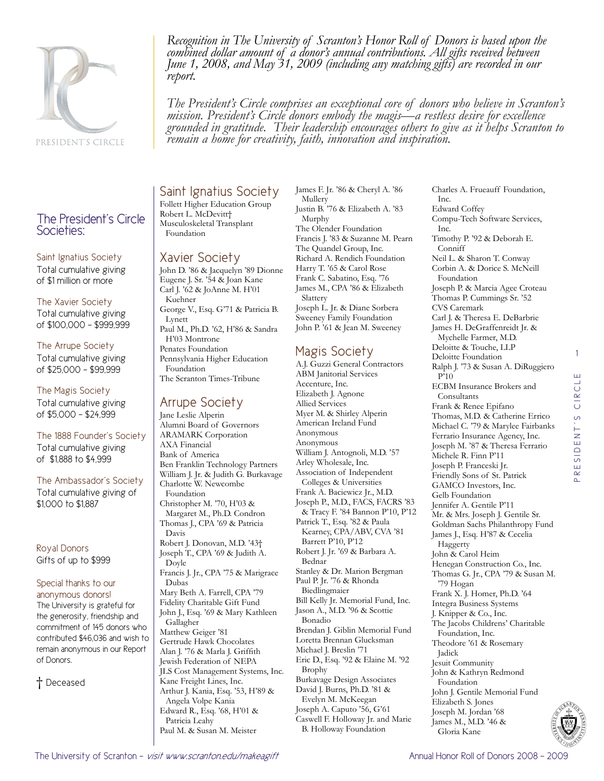

PRESIDENT'S CIRCLE

## The President's Circle Societies:

Saint Ignatius Society Total cumulative giving of \$1 million or more

#### The Xavier Society Total cumulative giving of \$100,000 - \$999,999

### The Arrupe Society Total cumulative giving of \$25,000 - \$99,999

The Magis Society Total cumulative giving of \$5,000 - \$24,999

The 1888 Founder's Society Total cumulative giving of \$1,888 to \$4,999

### The Ambassador's Society

Total cumulative giving of \$1,000 to \$1,887

Royal Donors Gifts of up to \$999

#### Special thanks to our anonymous donors!

The University is grateful for the generosity, friendship and commitment of 145 donors who contributed \$46,036 and wish to remain anonymous in our Report of Donors.

† Deceased

*Recognition in The University of Scranton's Honor Roll of Donors is based upon the combined dollar amount of a donor's annual contributions. All gifts received between June 1, 2008, and May 31, 2009 (including any matching gifts) are recorded in our report.* 

*The President's Circle comprises an exceptional core of donors who believe in Scranton's mission. President's Circle donors embody the magis—a restless desire for excellence grounded in gratitude. Their leadership encourages others to give as it helps Scranton to remain a home for creativity, faith, innovation and inspiration.*

## Saint Ignatius Society

Follett Higher Education Group Robert L. McDevitt† Musculoskeletal Transplant Foundation

### Xavier Society

John D. '86 & Jacquelyn '89 Dionne Eugene J. Sr. '54 & Joan Kane Carl J. '62 & JoAnne M. H'01 Kuehner George V., Esq. G'71 & Patricia B. Lynett Paul M., Ph.D. '62, H'86 & Sandra H'03 Montrone Penates Foundation Pennsylvania Higher Education Foundation The Scranton Times-Tribune

## Arrupe Society

Jane Leslie Alperin Alumni Board of Governors ARAMARK Corporation AXA Financial Bank of America Ben Franklin Technology Partners William J. Jr. & Judith G. Burkavage Charlotte W. Newcombe Foundation Christopher M. '70, H'03 & Margaret M., Ph.D. Condron Thomas J., CPA '69 & Patricia Davis Robert J. Donovan, M.D. '43† Joseph T., CPA '69 & Judith A. Doyle Francis J. Jr., CPA '75 & Marigrace Dubas Mary Beth A. Farrell, CPA '79 Fidelity Charitable Gift Fund John J., Esq. '69 & Mary Kathleen Gallagher Matthew Geiger '81 Gertrude Hawk Chocolates Alan J. '76 & Marla J. Griffith Jewish Federation of NEPA JLS Cost Management Systems, Inc. Kane Freight Lines, Inc. Arthur J. Kania, Esq. '53, H'89 & Angela Volpe Kania Edward R., Esq. '68, H'01 & Patricia Leahy Paul M. & Susan M. Meister

James F. Jr. '86 & Cheryl A. '86 Mullery Justin B. '76 & Elizabeth A. '83 Murphy The Olender Foundation Francis J. '83 & Suzanne M. Pearn The Quandel Group, Inc. Richard A. Rendich Foundation Harry T. '65 & Carol Rose Frank C. Sabatino, Esq. '76 James M., CPA '86 & Elizabeth Slattery Joseph L. Jr. & Diane Sorbera Sweeney Family Foundation John P. '61 & Jean M. Sweeney

# Magis Society

A.J. Guzzi General Contractors ABM Janitorial Services Accenture, Inc. Elizabeth J. Agnone Allied Services Myer M. & Shirley Alperin American Ireland Fund Anonymous Anonymous William J. Antognoli, M.D. '57 Arley Wholesale, Inc. Association of Independent Colleges & Universities Frank A. Baciewicz Jr., M.D. Joseph P., M.D., FACS, FACRS '83 & Tracy F. '84 Bannon P'10, P'12 Patrick T., Esq. '82 & Paula Kearney, CPA/ABV, CVA '81 Barrett P'10, P'12 Robert J. Jr. '69 & Barbara A. Bednar Stanley & Dr. Marion Bergman Paul P. Jr. '76 & Rhonda Biedlingmaier Bill Kelly Jr. Memorial Fund, Inc. Jason A., M.D. '96 & Scottie Bonadio Brendan J. Giblin Memorial Fund Loretta Brennan Glucksman Michael J. Breslin '71 Eric D., Esq. '92 & Elaine M. '92 Brophy Burkavage Design Associates David J. Burns, Ph.D. '81 & Evelyn M. McKeegan Joseph A. Caputo '56, G'61 Caswell F. Holloway Jr. and Marie B. Holloway Foundation

Charles A. Frueauff Foundation, Inc. Edward Coffey Compu-Tech Software Services, Inc. Timothy P. '92 & Deborah E. Conniff Neil L. & Sharon T. Conway Corbin A. & Dorice S. McNeill Foundation Joseph P. & Marcia Agee Croteau Thomas P. Cummings Sr. '52 CVS Caremark Carl J. & Theresa E. DeBarbrie James H. DeGraffenreidt Jr. & Mychelle Farmer, M.D. Deloitte & Touche, LLP Deloitte Foundation Ralph J. '73 & Susan A. DiRuggiero P'10 ECBM Insurance Brokers and **Consultants** Frank & Renee Epifano Thomas, M.D. & Catherine Errico Michael C. '79 & Marylee Fairbanks Ferrario Insurance Agency, Inc. Joseph M. '87 & Theresa Ferrario Michele R. Finn P'11 Joseph P. Franceski Jr. Friendly Sons of St. Patrick GAMCO Investors, Inc. Gelb Foundation Jennifer A. Gentile P'11 Mr. & Mrs. Joseph J. Gentile Sr. Goldman Sachs Philanthropy Fund James J., Esq. H'87 & Cecelia Haggerty John & Carol Heim Henegan Construction Co., Inc. Thomas G. Jr., CPA '79 & Susan M. '79 Hogan Frank X. J. Homer, Ph.D. '64 Integra Business Systems J. Knipper & Co., Inc. The Jacobs Childrens' Charitable Foundation, Inc. Theodore '61 & Rosemary Jadick Jesuit Community John & Kathryn Redmond Foundation John J. Gentile Memorial Fund Elizabeth S. Jones Joseph M. Jordan '68 James M., M.D. '46 & Gloria Kane



1

Ш

CIRCL

PRESIDENT'S CIRCLE

PRESIDENT'S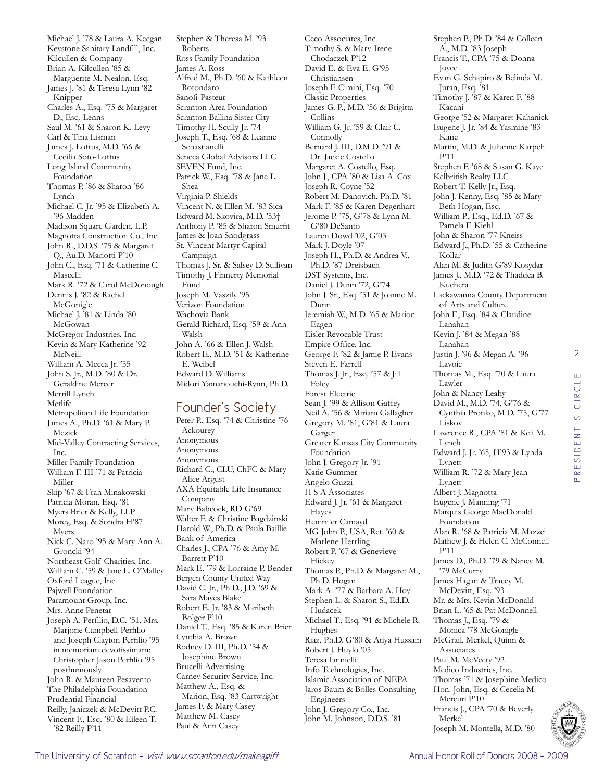Michael J. '78 & Laura A. Keegan Keystone Sanitary Landfill, Inc. Kilcullen & Company Brian A. Kilcullen '85 & Marguerite M. Nealon, Esq. James J. '81 & Teresa Lynn '82 Knipper Charles A., Esq. '75 & Margaret D., Esq. Lenns Saul M. '61 & Sharon K. Levy Carl & Tina Lisman James J. Loftus, M.D. '66 & Cecilia Soto-Loftus Long Island Community Foundation Thomas P. '86 & Sharon '86 Lynch Michael C. Jr. '95 & Elizabeth A. '96 Madden Madison Square Garden, L.P. Magnotta Construction Co., Inc. John R., D.D.S. '75 & Margaret Q., Au.D. Mariotti P'10 John C., Esq. '71 & Catherine C. Mascelli Mark R. '72 & Carol McDonough Dennis J. '82 & Rachel McGonigle Michael J. '81 & Linda '80 McGowan McGregor Industries, Inc. Kevin & Mary Katherine '92 McNeill William A. Mecca Jr. '55 John S. Jr., M.D. '80 & Dr. Geraldine Mercer Merrill Lynch Metlife Metropolitan Life Foundation James A., Ph.D. '61 & Mary P. Mezick Mid-Valley Contracting Services, Inc. Miller Family Foundation William F. III '71 & Patricia Miller Skip '67 & Fran Minakowski Patricia Moran, Esq. '81 Myers Brier & Kelly, LLP Morey, Esq. & Sondra H'87 Myers Nick C. Naro '95 & Mary Ann A. Groncki '94 Northeast Golf Charities, Inc. William C. '59 & Jane L. O'Malley Oxford League, Inc. Pajwell Foundation Paramount Group, Inc. Mrs. Anne Penetar Joseph A. Perfilio, D.C. '51, Mrs. Marjorie Campbell-Perfilio and Joseph Clayton Perfilio '95 in memoriam devotissimam: Christopher Jason Perfilio '95 posthumously John R. & Maureen Pesavento The Philadelphia Foundation Prudential Financial Reilly, Janiczek & McDevitt P.C. Vincent F., Esq. '80 & Eileen T. '82 Reilly P'11

Stephen & Theresa M. '93 Roberts Ross Family Foundation James A. Ross Alfred M., Ph.D. '60 & Kathleen Rotondaro Sanofi-Pasteur Scranton Area Foundation Scranton Ballina Sister City Timothy H. Scully Jr. '74 Joseph T., Esq. '68 & Leanne Sebastianelli Seneca Global Advisors LLC SEVEN Fund, Inc. Patrick W., Esq. '78 & Jane L. Shea Virginia P. Shields Vincent N. & Ellen M. '83 Sica Edward M. Skovira, M.D. '53† Anthony P. '85 & Sharon Smurfit James & Joan Snodgrass St. Vincent Martyr Capital Campaign Thomas J. Sr. & Salsey D. Sullivan Timothy J. Finnerty Memorial Fund Joseph M. Vaszily '95 Verizon Foundation Wachovia Bank Gerald Richard, Esq. '59 & Ann Walsh John A. '66 & Ellen J. Walsh Robert E., M.D. '51 & Katherine E. Weibel Edward D. Williams Midori Yamanouchi-Rynn, Ph.D.

### Founder's Society

Peter P., Esq. '74 & Christine '76 Ackourey Anonymous Anonymous Anonymous Richard C., CLU, ChFC & Mary Alice Argust AXA Equitable Life Insurance Company Mary Babcock, RD G'69 Walter F. & Christine Bagdzinski Harold W., Ph.D. & Paula Baillie Bank of America Charles J., CPA '76 & Amy M. Barrett P'10 Mark E. '79 & Lorraine P. Bender Bergen County United Way David C. Jr., Ph.D., J.D. '69 & Sara Mayes Blake Robert E. Jr. '83 & Maribeth Bolger P'10 Daniel T., Esq. '85 & Karen Brier Cynthia A. Brown Rodney D. III, Ph.D. '54 & Josephine Brown Brucelli Advertising Carney Security Service, Inc. Matthew A., Esq. & Marion, Esq. '83 Cartwright James F. & Mary Casey Matthew M. Casey Paul & Ann Casey

Ceco Associates, Inc. Timothy S. & Mary-Irene Chodaczek P'12 David E. & Eva E. G'95 Christiansen Joseph F. Cimini, Esq. '70 Classic Properties James G. P., M.D. '56 & Brigitta Collins William G. Jr. '59 & Clair C. Connolly Bernard J. III, D.M.D. '91 & Dr. Jackie Costello Margaret A. Costello, Esq. John J., CPA '80 & Lisa A. Cox Joseph R. Coyne '52 Robert M. Danovich, Ph.D. '81 Mark F. '85 & Karen Degenhart Jerome P. '75, G'78 & Lynn M. G'80 DeSanto Lauren Dowd '02, G'03 Mark J. Doyle '07 Joseph H., Ph.D. & Andrea V., Ph.D. '87 Dreisbach DST Systems, Inc. Daniel J. Dunn '72, G'74 John J. Sr., Esq. '51 & Joanne M. Dunn Jeremiah W., M.D. '65 & Marion Eagen Eisler Revocable Trust Empire Office, Inc. George F. '82 & Jamie P. Evans Steven E. Farrell Thomas J. Jr., Esq. '57 & Jill Foley Forest Electric Sean J. '99 & Allison Gaffey Neil A. '56 & Miriam Gallagher Gregory M. '81, G'81 & Laura Garger Greater Kansas City Community Foundation John J. Gregory Jr. '91 Katie Gummer Angelo Guzzi H S A Associates Edward J. Jr. '61 & Margaret Hayes Hemmler Camayd MG John P., USA, Ret. '60 & Marlene Herrling Robert P. '67 & Genevieve Hickey Thomas P., Ph.D. & Margaret M., Ph.D. Hogan Mark A. '77 & Barbara A. Hoy Stephen L. & Sharon S., Ed.D. Hudacek Michael T., Esq. '91 & Michele R. Hughes Riaz, Ph.D. G'80 & Atiya Hussain Robert J. Huylo '05 Teresa Iannielli Info Technologies, Inc. Islamic Association of NEPA Jaros Baum & Bolles Consulting Engineers John J. Gregory Co., Inc. John M. Johnson, D.D.S. '81

Stephen P., Ph.D. '84 & Colleen A., M.D. '83 Joseph Francis T., CPA '75 & Donna Joyce Evan G. Schapiro & Belinda M. Juran, Esq. '81 Timothy J. '87 & Karen F. '88 Kacani George '52 & Margaret Kahanick Eugene J. Jr. '84 & Yasmine '83 Kane Martin, M.D. & Julianne Karpeh P'11 Stephen F. '68 & Susan G. Kaye Kelbritish Realty LLC Robert T. Kelly Jr., Esq. John J. Kenny, Esq. '85 & Mary Beth Hogan, Esq. William P., Esq., Ed.D. '67 & Pamela F. Kiehl John & Sharon '77 Kneiss Edward J., Ph.D. '55 & Catherine Kollar Alan M. & Judith G'89 Kosydar James J., M.D. '72 & Thaddea B. Kuchera Lackawanna County Department of Arts and Culture John F., Esq. '84 & Claudine Lanahan Kevin J. '84 & Megan '88 Lanahan Justin J. '96 & Megan A. '96 Lavoie Thomas M., Esq. '70 & Laura Lawler John & Nancy Leahy David M., M.D. '74, G'76 & Cynthia Pronko, M.D. '75, G'77 Liskov Lawrence R., CPA '81 & Keli M. Lynch Edward J. Jr. '65, H'93 & Lynda Lynett William R. '72 & Mary Jean Lynett Albert J. Magnotta Eugene J. Manning '71 Marquis George MacDonald Foundation Alan R. '68 & Patricia M. Mazzei Mathew J. & Helen C. McConnell P'11 James D., Ph.D. '79 & Nancy M. '79 McCurry James Hagan & Tracey M. McDevitt, Esq. '93 Mr. & Mrs. Kevin McDonald Brian L. '65 & Pat McDonnell Thomas J., Esq. '79 & Monica '78 McGonigle McGrail, Merkel, Quinn & Associates Paul M. McVeety '92 Medico Industries, Inc. Thomas '71 & Josephine Medico Hon. John, Esq. & Cecelia M. Mercuri P'10 Francis J., CPA '70 & Beverly Merkel Joseph M. Montella, M.D. '80

2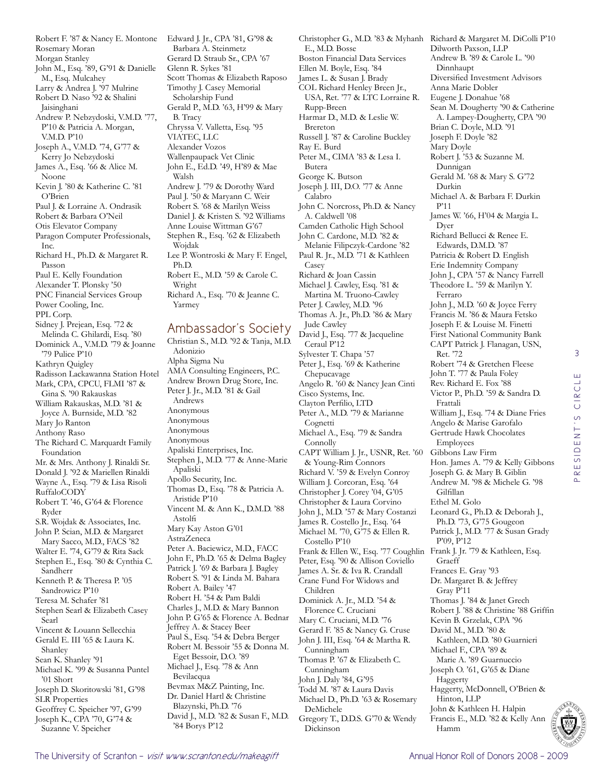Robert F. '87 & Nancy E. Montone Rosemary Moran Morgan Stanley John M., Esq. '89, G'91 & Danielle M., Esq. Mulcahey Larry & Andrea J. '97 Mulrine Robert D. Naso '92 & Shalini Jaisinghani Andrew P. Nebzydoski, V.M.D. '77, P'10 & Patricia A. Morgan, V.M.D. P'10 Joseph A., V.M.D. '74, G'77 & Kerry Jo Nebzydoski James A., Esq. '66 & Alice M. Noone Kevin J. '80 & Katherine C. '81 O'Brien Paul J. & Lorraine A. Ondrasik Robert & Barbara O'Neil Otis Elevator Company Paragon Computer Professionals, Inc. Richard H., Ph.D. & Margaret R. Passon Paul E. Kelly Foundation Alexander T. Plonsky '50 PNC Financial Services Group Power Cooling, Inc. PPL Corp. Sidney J. Prejean, Esq. '72 & Melinda C. Ghilardi, Esq. '80 Dominick A., V.M.D. '79 & Joanne '79 Pulice P'10 Kathryn Quigley Radisson Lackawanna Station Hotel Mark, CPA, CPCU, FLMI '87 & Gina S. '90 Rakauskas William Rakauskas, M.D. '81 & Joyce A. Burnside, M.D. '82 Mary Jo Ranton Anthony Raso The Richard C. Marquardt Family Foundation Mr. & Mrs. Anthony J. Rinaldi Sr. Donald J. '92 & Mariellen Rinaldi Wayne A., Esq. '79 & Lisa Risoli RuffaloCODY Robert T. '46, G'64 & Florence Ryder S.R. Wojdak & Associates, Inc. John P. Scian, M.D. & Margaret Mary Sacco, M.D., FACS '82 Walter E. '74, G'79 & Rita Sack Stephen E., Esq. '80 & Cynthia C. Sandherr Kenneth P. & Theresa P. '05 Sandrowicz P'10 Teresa M. Schafer '81 Stephen Searl & Elizabeth Casey Searl Vincent & Louann Sellecchia Gerald E. III '65 & Laura K. Shanley Sean K. Shanley '91 Michael K. '99 & Susanna Puntel '01 Short Joseph D. Skoritowski '81, G'98 SLR Properties Geoffrey C. Speicher '97, G'99 Joseph K., CPA '70, G'74 &

Edward J. Jr., CPA '81, G'98 & Barbara A. Steinmetz Gerard D. Straub Sr., CPA '67 Glenn R. Sykes '81 Scott Thomas & Elizabeth Raposo Timothy J. Casey Memorial Scholarship Fund Gerald P., M.D. '63, H'99 & Mary B. Tracy Chryssa V. Valletta, Esq. '95 VIATEC, LLC Alexander Vozos Wallenpaupack Vet Clinic John E., Ed.D. '49, H'89 & Mae Walsh Andrew J. '79 & Dorothy Ward Paul J. '50 & Maryann C. Weir Robert S. '68 & Marilyn Weiss Daniel J. & Kristen S. '92 Williams Anne Louise Wittman G'67 Stephen R., Esq. '62 & Elizabeth Wojdak Lee P. Wontroski & Mary F. Engel, Ph.D. Robert E., M.D. '59 & Carole C. Wright Richard A., Esq. '70 & Jeanne C. Yarmey Ambassador's Society Christian S., M.D. '92 & Tanja, M.D. Adonizio Alpha Sigma Nu AMA Consulting Engineers, P.C. Andrew Brown Drug Store, Inc. Peter J. Jr., M.D. '81 & Gail Andrews Anonymous Anonymous Anonymous Anonymous Apaliski Enterprises, Inc. Stephen J., M.D. '77 & Anne-Marie Apaliski Apollo Security, Inc. Thomas D., Esq. '78 & Patricia A. Aristide P'10 Vincent M. & Ann K., D.M.D. '88 Astolfi Mary Kay Aston G'01 AstraZeneca

Peter A. Baciewicz, M.D., FACC John F., Ph.D. '65 & Delma Bagley Patrick J. '69 & Barbara J. Bagley Robert S. '91 & Linda M. Bahara Robert A. Bailey '47 Robert H. '54 & Pam Baldi Charles J., M.D. & Mary Bannon John P. G'65 & Florence A. Bednar Jeffrey A. & Stacey Beer Paul S., Esq. '54 & Debra Berger Robert M. Bessoir '55 & Donna M. Eget Bessoir, D.O. '89 Michael J., Esq. '78 & Ann Bevilacqua Bevmax M&Z Painting, Inc. Dr. Daniel Hartl & Christine Blazynski, Ph.D. '76

David J., M.D. '82 & Susan F., M.D. '84 Borys P'12

E., M.D. Bosse Boston Financial Data Services Ellen M. Boyle, Esq. '84 James L. & Susan J. Brady COL Richard Henley Breen Jr., USA, Ret. '77 & LTC Lorraine R. Rupp-Breen Harmar D., M.D. & Leslie W. Brereton Russell J. '87 & Caroline Buckley Ray E. Burd Peter M., CIMA '83 & Lesa I. Butera George K. Butson Joseph J. III, D.O. '77 & Anne Calabro John C. Norcross, Ph.D. & Nancy A. Caldwell '08 Camden Catholic High School John C. Cardone, M.D. '82 & Melanie Filipczyk-Cardone '82 Paul R. Jr., M.D. '71 & Kathleen **Casey** Richard & Joan Cassin Michael J. Cawley, Esq. '81 & Martina M. Truono-Cawley Peter J. Cawley, M.D. '96 Thomas A. Jr., Ph.D. '86 & Mary Jude Cawley David J., Esq. '77 & Jacqueline Ceraul P'12 Sylvester T. Chapa '57 Peter J., Esq. '69 & Katherine Chepucavage Angelo R. '60 & Nancy Jean Cinti Cisco Systems, Inc. Clayton Perfilio, LTD Peter A., M.D. '79 & Marianne Cognetti Michael A., Esq. '79 & Sandra Connolly CAPT William J. Jr., USNR, Ret. '60 & Young-Rim Connors Richard V. '59 & Evelyn Conroy William J. Corcoran, Esq. '64 Christopher J. Corey '04, G'05 Christopher & Laura Corvino John J., M.D. '57 & Mary Costanzi James R. Costello Jr., Esq. '64 Michael M. '70, G'75 & Ellen R. Costello P'10 Frank & Ellen W., Esq. '77 Coughlin Frank J. Jr. '79 & Kathleen, Esq. Peter, Esq. '90 & Allison Coviello James A. Sr. & Iva R. Crandall Crane Fund For Widows and Children Dominick A. Jr., M.D. '54 & Florence C. Cruciani Mary C. Cruciani, M.D. '76 Gerard F. '85 & Nancy G. Cruse John J. III, Esq. '64 & Martha R. Cunningham Thomas P. '67 & Elizabeth C. Cunningham John J. Daly '84, G'95 Todd M. '87 & Laura Davis Michael D., Ph.D. '63 & Rosemary DeMichele Gregory T., D.D.S. G'70 & Wendy Dickinson

Christopher G., M.D. '83 & Myhanh Richard & Margaret M. DiColli P'10 Dilworth Paxson, LLP Andrew B. '89 & Carole L. '90 Dinnhaupt Diversified Investment Advisors Anna Marie Dobler Eugene J. Donahue '68 Sean M. Dougherty '90 & Catherine A. Lampey-Dougherty, CPA '90 Brian C. Doyle, M.D. '91 Joseph F. Doyle '82 Mary Doyle Robert J. '53 & Suzanne M. Dunnigan Gerald M. '68 & Mary S. G'72 Durkin Michael A. & Barbara F. Durkin P'11 James W. '66, H'04 & Margia L. Dyer Richard Bellucci & Renee E. Edwards, D.M.D. '87 Patricia & Robert D. English Erie Indemnity Company John J., CPA '57 & Nancy Farrell Theodore L. '59 & Marilyn Y. Ferraro John J., M.D. '60 & Joyce Ferry Francis M. '86 & Maura Fetsko Joseph F. & Louise M. Finetti First National Community Bank CAPT Patrick J. Flanagan, USN, Ret. '72 Robert '74 & Gretchen Fleese John T. '77 & Paula Foley Rev. Richard E. Fox '88 Victor P., Ph.D. '59 & Sandra D. Frattali William J., Esq. '74 & Diane Fries Angelo & Marise Garofalo Gertrude Hawk Chocolates Employees Gibbons Law Firm Hon. James A. '79 & Kelly Gibbons Joseph G. & Mary B. Giblin Andrew M. '98 & Michele G. '98 Gilfillan Ethel M. Golo Leonard G., Ph.D. & Deborah J., Ph.D. '73, G'75 Gougeon Patrick J., M.D. '77 & Susan Grady P'09, P'12 Graeff Frances E. Gray '93 Dr. Margaret B. & Jeffrey Gray P'11 Thomas J. '84 & Janet Grech Robert J. '88 & Christine '88 Griffin Kevin B. Grzelak, CPA '96 David M., M.D. '80 & Kathleen, M.D. '80 Guarnieri Michael F., CPA '89 & Marie A. '89 Guarnuccio Joseph O. '61, G'65 & Diane Haggerty Haggerty, McDonnell, O'Brien & Hinton, LLP John & Kathleen H. Halpin Francis E., M.D. '82 & Kelly Ann Hamm

3

Ш

CIRCL

PRESIDENT'S CIRCLE

ESIDENT'S

 $\alpha$  $\Delta$ 

Suzanne V. Speicher